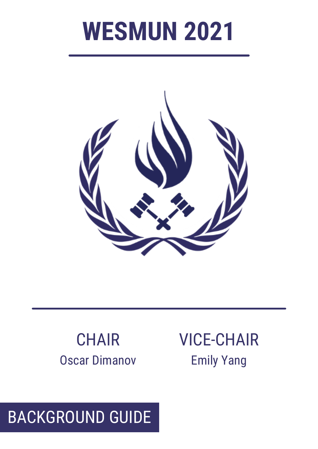# **WESMUN 2021**



#### **CHAIR** Oscar Dimanov

VICE-CHAIR Emily Yang

#### BACKGROUND GUIDE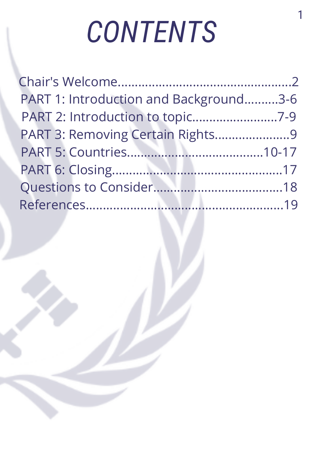# *CONTENTS*

| PART 1: Introduction and Background3-6 |  |
|----------------------------------------|--|
| PART 2: Introduction to topic7-9       |  |
| PART 3: Removing Certain Rights9       |  |
|                                        |  |
|                                        |  |
|                                        |  |
|                                        |  |
|                                        |  |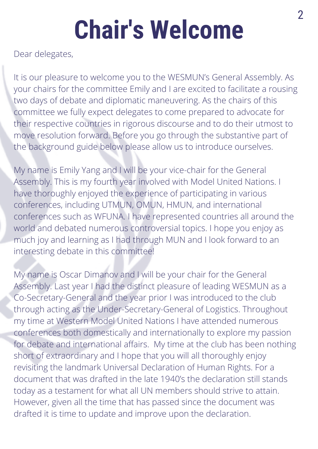# **Chair's Welcome**

Dear delegates,

It is our pleasure to welcome you to the WESMUN's General Assembly. As your chairs for the committee Emily and I are excited to facilitate a rousing two days of debate and diplomatic maneuvering. As the chairs of this committee we fully expect delegates to come prepared to advocate for their respective countries in rigorous discourse and to do their utmost to move resolution forward. Before you go through the substantive part of the background guide below please allow us to introduce ourselves.

My name is Emily Yang and I will be your vice-chair for the General Assembly. This is my fourth year involved with Model United Nations. I have thoroughly enjoyed the experience of participating in various conferences, including UTMUN, OMUN, HMUN, and international conferences such as WFUNA. I have represented countries all around the world and debated numerous controversial topics. I hope you enjoy as much joy and learning as I had through MUN and I look forward to an interesting debate in this committee!

My name is Oscar Dimanov and I will be your chair for the General Assembly. Last year I had the distinct pleasure of leading WESMUN as a Co-Secretary-General and the year prior I was introduced to the club through acting as the Under-Secretary-General of Logistics. Throughout my time at Western Model United Nations I have attended numerous conferences both domestically and internationally to explore my passion for debate and international affairs. My time at the club has been nothing short of extraordinary and I hope that you will all thoroughly enjoy revisiting the landmark Universal Declaration of Human Rights. For a document that was drafted in the late 1940's the declaration still stands today as a testament for what all UN members should strive to attain. However, given all the time that has passed since the document was drafted it is time to update and improve upon the declaration.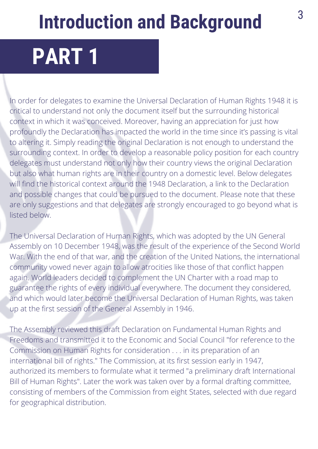# **Introduction and Background**

# **PART 1**

In order for delegates to examine the Universal Declaration of Human Rights 1948 it is critical to understand not only the document itself but the surrounding historical context in which it was conceived. Moreover, having an appreciation for just how profoundly the Declaration has impacted the world in the time since it's passing is vital to altering it. Simply reading the original Declaration is not enough to understand the surrounding context. In order to develop a reasonable policy position for each country delegates must understand not only how their country views the original Declaration but also what human rights are in their country on a domestic level. Below delegates will find the historical context around the 1948 Declaration, a link to the Declaration and possible changes that could be pursued to the document. Please note that these are only suggestions and that delegates are strongly encouraged to go beyond what is listed below.

The Universal Declaration of Human Rights, which was adopted by the UN General Assembly on 10 December 1948, was the result of the experience of the Second World War. With the end of that war, and the creation of the United Nations, the international community vowed never again to allow atrocities like those of that conflict happen again. World leaders decided to complement the UN Charter with a road map to guarantee the rights of every individual everywhere. The document they considered, and which would later become the Universal Declaration of Human Rights, was taken up at the first session of the General Assembly in 1946.

The Assembly reviewed this draft Declaration on Fundamental Human Rights and Freedoms and transmitted it to the Economic and Social Council "for reference to the Commission on Human Rights for consideration . . . in its preparation of an international bill of rights." The Commission, at its first session early in 1947, authorized its members to formulate what it termed "a preliminary draft International Bill of Human Rights". Later the work was taken over by a formal drafting committee, consisting of members of the Commission from eight States, selected with due regard for geographical distribution.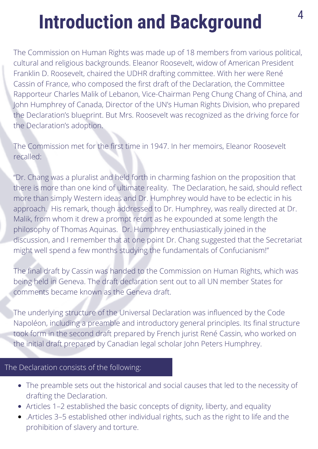# **Introduction and Background**

The Commission on Human Rights was made up of 18 members from various political, cultural and religious backgrounds. Eleanor Roosevelt, widow of American President Franklin D. Roosevelt, chaired the UDHR drafting committee. With her were René Cassin of France, who composed the first draft of the Declaration, the Committee Rapporteur Charles Malik of Lebanon, Vice-Chairman Peng Chung Chang of China, and John Humphrey of Canada, Director of the UN's Human Rights Division, who prepared the Declaration's blueprint. But Mrs. Roosevelt was recognized as the driving force for the Declaration's adoption.

The Commission met for the first time in 1947. In her memoirs, Eleanor Roosevelt recalled:

"Dr. Chang was a pluralist and held forth in charming fashion on the proposition that there is more than one kind of ultimate reality. The Declaration, he said, should reflect more than simply Western ideas and Dr. Humphrey would have to be eclectic in his approach. His remark, though addressed to Dr. Humphrey, was really directed at Dr. Malik, from whom it drew a prompt retort as he expounded at some length the philosophy of Thomas Aquinas. Dr. Humphrey enthusiastically joined in the discussion, and I remember that at one point Dr. Chang suggested that the Secretariat might well spend a few months studying the fundamentals of Confucianism!"

The final draft by Cassin was handed to the Commission on Human Rights, which was being held in Geneva. The draft declaration sent out to all UN member States for comments became known as the Geneva draft.

The underlying structure of the Universal Declaration was influenced by the Code Napoléon, including a preamble and introductory general principles. Its final structure took form in the second draft prepared by French jurist René Cassin, who worked on the initial draft prepared by Canadian legal scholar John Peters Humphrey.

#### The Declaration consists of the following:

- The preamble sets out the historical and social causes that led to the necessity of drafting the Declaration.
- Articles 1–2 established the basic concepts of dignity, liberty, and equality
- .Articles 3–5 established other individual rights, such as the right to life and the prohibition of slavery and torture.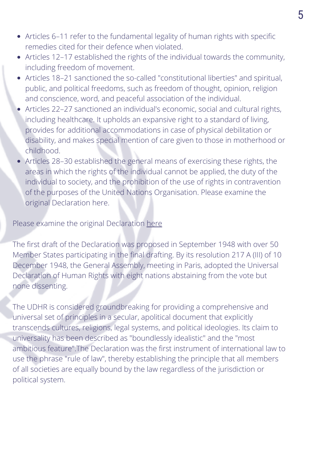- Articles 6–11 refer to the fundamental legality of human rights with specific remedies cited for their defence when violated.
- Articles 12–17 established the rights of the individual towards the community, including freedom of movement.
- Articles 18–21 sanctioned the so-called "constitutional liberties" and spiritual, public, and political freedoms, such as freedom of thought, opinion, religion and conscience, word, and peaceful association of the individual.
- Articles 22–27 sanctioned an individual's economic, social and cultural rights, including healthcare. It upholds an expansive right to a standard of living, provides for additional accommodations in case of physical debilitation or disability, and makes special mention of care given to those in motherhood or childhood.
- Articles 28–30 established the general means of exercising these rights, the areas in which the rights of the individual cannot be applied, the duty of the individual to society, and the prohibition of the use of rights in contravention of the purposes of the United Nations Organisation. Please examine the original Declaration here.

#### Please examine the original Declaration [here](https://www.un.org/en/universal-declaration-human-rights/)

The first draft of the Declaration was proposed in September 1948 with over 50 Member States participating in the final drafting. By its resolution 217 A (III) of 10 December 1948, the General Assembly, meeting in Paris, adopted the Universal Declaration of Human Rights with eight nations abstaining from the vote but none dissenting.

of all societies are equally bound by the law regardless of the jurisdiction or The UDHR is considered groundbreaking for providing a comprehensive and universal set of principles in a secular, apolitical document that explicitly transcends cultures, religions, legal systems, and political ideologies. Its claim to universality has been described as "boundlessly idealistic" and the "most ambitious feature".The Declaration was the first instrument of international law to use the phrase "rule of law", thereby establishing the principle that all members political system.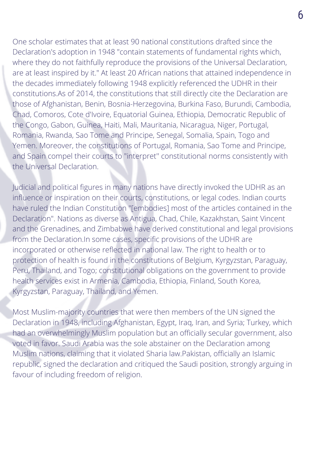One scholar estimates that at least 90 national constitutions drafted since the Declaration's adoption in 1948 "contain statements of fundamental rights which, where they do not faithfully reproduce the provisions of the Universal Declaration, are at least inspired by it." At least 20 African nations that attained independence in the decades immediately following 1948 explicitly referenced the UDHR in their constitutions.As of 2014, the constitutions that still directly cite the Declaration are those of Afghanistan, Benin, Bosnia-Herzegovina, Burkina Faso, Burundi, Cambodia, Chad, Comoros, Cote d'Ivoire, Equatorial Guinea, Ethiopia, Democratic Republic of the Congo, Gabon, Guinea, Haiti, Mali, Mauritania, Nicaragua, Niger, Portugal, Romania, Rwanda, Sao Tome and Principe, Senegal, Somalia, Spain, Togo and Yemen. Moreover, the constitutions of Portugal, Romania, Sao Tome and Principe, and Spain compel their courts to "interpret'' constitutional norms consistently with the Universal Declaration.

Judicial and political figures in many nations have directly invoked the UDHR as an influence or inspiration on their courts, constitutions, or legal codes. Indian courts have ruled the Indian Constitution "[embodies] most of the articles contained in the Declaration". Nations as diverse as Antigua, Chad, Chile, Kazakhstan, Saint Vincent and the Grenadines, and Zimbabwe have derived constitutional and legal provisions from the Declaration.In some cases, specific provisions of the UDHR are incorporated or otherwise reflected in national law. The right to health or to protection of health is found in the constitutions of Belgium, Kyrgyzstan, Paraguay, Peru, Thailand, and Togo; constitutional obligations on the government to provide health services exist in Armenia, Cambodia, Ethiopia, Finland, South Korea, Kyrgyzstan, Paraguay, Thailand, and Yemen.

republic, signed the declaration and critiqued the Saudi position, strongly arguing in Most Muslim-majority countries that were then members of the UN signed the Declaration in 1948, including Afghanistan, Egypt, Iraq, Iran, and Syria; Turkey, which had an overwhelmingly Muslim population but an officially secular government, also voted in favor. Saudi Arabia was the sole abstainer on the Declaration among Muslim nations, claiming that it violated Sharia law.Pakistan, officially an Islamic favour of including freedom of religion.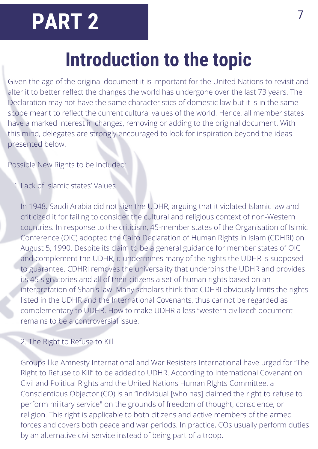# **PART 2**

# **Introduction to the topic**

Given the age of the original document it is important for the United Nations to revisit and alter it to better reflect the changes the world has undergone over the last 73 years. The Declaration may not have the same characteristics of domestic law but it is in the same scope meant to reflect the current cultural values of the world. Hence, all member states have a marked interest in changes, removing or adding to the original document. With this mind, delegates are strongly encouraged to look for inspiration beyond the ideas presented below.

Possible New Rights to be Included:

Lack of Islamic states' Values 1.

In 1948. Saudi Arabia did not sign the UDHR, arguing that it violated Islamic law and criticized it for failing to consider the cultural and religious context of non-Western countries. In response to the criticism, 45-member states of the Organisation of Islmic Conference (OIC) adopted the Cairo Declaration of Human Rights in Islam (CDHRI) on August 5, 1990. Despite its claim to be a general guidance for member states of OIC and complement the UDHR, it undermines many of the rights the UDHR is supposed to guarantee. CDHRI removes the universality that underpins the UDHR and provides its 45 signatories and all of their citizens a set of human rights based on an interpretation of Shari's law. Many scholars think that CDHRI obviously limits the rights listed in the UDHR and the International Covenants, thus cannot be regarded as complementary to UDHR. How to make UDHR a less "western civilized" document remains to be a controversial issue.

#### 2. The Right to Refuse to Kill

The Declaration consists of the following: Chronicle consists of the following: Chronicle consists of the following: Groups like Amnesty International and War Resisters International have urged for "The Right to Refuse to Kill" to be added to UDHR. According to International Covenant on Civil and Political Rights and the United Nations Human RIghts Committee, a Conscientious Objector (CO) is an "individual [who has] claimed the right to refuse to perform military service" on the grounds of freedom of thought, conscience, or religion. This right is applicable to both citizens and active members of the armed forces and covers both peace and war periods. In practice, COs usually perform duties by an alternative civil service instead of being part of a troop.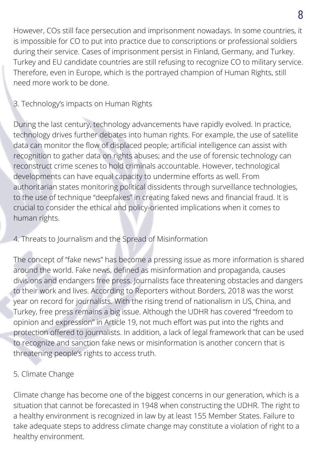However, COs still face persecution and imprisonment nowadays. In some countries, it is impossible for CO to put into practice due to conscriptions or professional soldiers during their service. Cases of imprisonment persist in Finland, Germany, and Turkey. Turkey and EU candidate countries are still refusing to recognize CO to military service. Therefore, even in Europe, which is the portrayed champion of Human Rights, still need more work to be done.

#### 3. Technology's impacts on Human Rights

During the last century, technology advancements have rapidly evolved. In practice, technology drives further debates into human rights. For example, the use of satellite data can monitor the flow of displaced people; artificial intelligence can assist with recognition to gather data on rights abuses; and the use of forensic technology can reconstruct crime scenes to hold criminals accountable. However, technological developments can have equal capacity to undermine efforts as well. From authoritarian states monitoring political dissidents through surveillance technologies, to the use of technique "deepfakes" in creating faked news and financial fraud. It is crucial to consider the ethical and policy-oriented implications when it comes to human rights.

#### 4. Threats to Journalism and the Spread of Misinformation

The concept of "fake news" has become a pressing issue as more information is shared around the world. Fake news, defined as misinformation and propaganda, causes divisions and endangers free press. Journalists face threatening obstacles and dangers to their work and lives. According to Reporters without Borders, 2018 was the worst year on record for journalists. With the rising trend of nationalism in US, China, and Turkey, free press remains a big issue. Although the UDHR has covered "freedom to opinion and expression" in Article 19, not much effort was put into the rights and protection offered to journalists. In addition, a lack of legal framework that can be used to recognize and sanction fake news or misinformation is another concern that is threatening people's rights to access truth.

#### $T_{\rm eff}$  at  $T_{\rm eff}$  the following:  $T_{\rm eff}$  the following:  $T_{\rm eff}$ 5. Climate Change

Climate change has become one of the biggest concerns in our generation, which is a situation that cannot be forecasted in 1948 when constructing the UDHR. The right to a healthy environment is recognized in law by at least 155 Member States. Failure to take adequate steps to address climate change may constitute a violation of right to a healthy environment.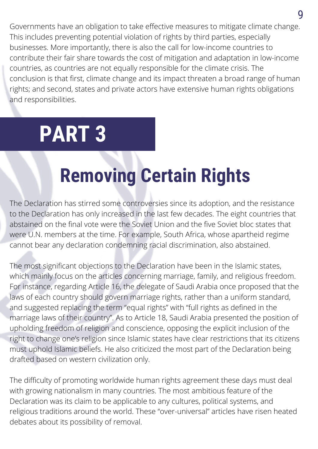Governments have an obligation to take effective measures to mitigate climate change. This includes preventing potential violation of rights by third parties, especially businesses. More importantly, there is also the call for low-income countries to contribute their fair share towards the cost of mitigation and adaptation in low-income countries, as countries are not equally responsible for the climate crisis. The conclusion is that first, climate change and its impact threaten a broad range of human rights; and second, states and private actors have extensive human rights obligations and responsibilities.

# **PART 3**

# **Removing Certain Rights**

The Declaration has stirred some controversies since its adoption, and the resistance to the Declaration has only increased in the last few decades. The eight countries that abstained on the final vote were the Soviet Union and the five Soviet bloc states that were U.N. members at the time. For example, South Africa, whose apartheid regime cannot bear any declaration condemning racial discrimination, also abstained.

The most significant objections to the Declaration have been in the Islamic states, which mainly focus on the articles concerning marriage, family, and religious freedom. For instance, regarding Article 16, the delegate of Saudi Arabia once proposed that the laws of each country should govern marriage rights, rather than a uniform standard, and suggested replacing the term "equal rights" with "full rights as defined in the marriage laws of their country". As to Article 18, Saudi Arabia presented the position of upholding freedom of religion and conscience, opposing the explicit inclusion of the right to change one's religion since Islamic states have clear restrictions that its citizens must uphold Islamic beliefs. He also criticized the most part of the Declaration being drafted based on western civilization only. The Declaration consists of the following:

The difficulty of promoting worldwide human rights agreement these days must deal with growing nationalism in many countries. The most ambitious feature of the Declaration was its claim to be applicable to any cultures, political systems, and religious traditions around the world. These "over-universal" articles have risen heated debates about its possibility of removal.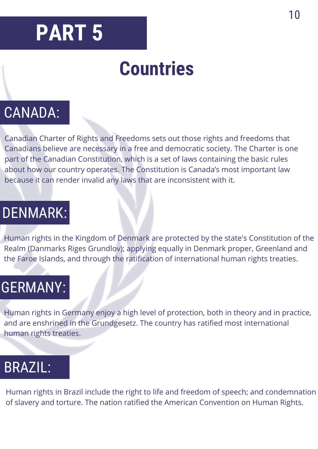# **PART 5**

# **Countries**

#### CANADA:

Canadian Charter of Rights and Freedoms sets out those rights and freedoms that Canadians believe are necessary in a free and democratic society. The Charter is one part of the Canadian Constitution, which is a set of laws containing the basic rules about how our country operates. The Constitution is Canada's most important law because it can render invalid any laws that are inconsistent with it.

#### DENMARK:

Human rights in the Kingdom of Denmark are protected by the state's Constitution of the Realm (Danmarks Riges Grundlov); applying equally in Denmark proper, Greenland and the Faroe Islands, and through the ratification of international human rights treaties.

#### GERMANY:

Human rights in Germany enjoy a high level of protection, both in theory and in practice, and are enshrined in the Grundgesetz. The country has ratified most international human rights treaties.

#### BRAZIL:

Human rights in Brazil include the right to life and freedom of speech; and condemnation of slavery and torture. The nation ratified the American Convention on Human Rights.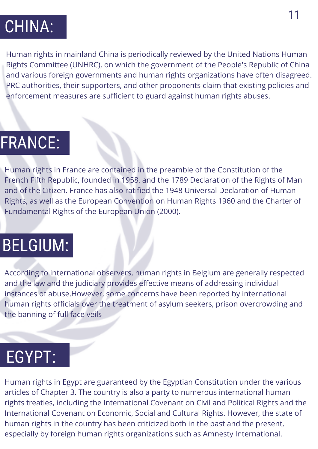### CHINA:

Human rights in mainland China is periodically reviewed by the United Nations Human Rights Committee (UNHRC), on which the government of the People's Republic of China and various foreign governments and human rights organizations have often disagreed. PRC authorities, their supporters, and other proponents claim that existing policies and enforcement measures are sufficient to guard against human rights abuses.

#### FRANCE:

Human rights in France are contained in the preamble of the Constitution of the French Fifth Republic, founded in 1958, and the 1789 Declaration of the Rights of Man and of the Citizen. France has also ratified the 1948 Universal Declaration of Human Rights, as well as the European Convention on Human Rights 1960 and the Charter of Fundamental Rights of the European Union (2000).

### BELGIUM:

According to international observers, human rights in Belgium are generally respected and the law and the judiciary provides effective means of addressing individual instances of abuse.However, some concerns have been reported by international human rights officials over the treatment of asylum seekers, prison overcrowding and the banning of full face veils

#### The Declaration consists of the following: EGYPT:

Human rights in Egypt are guaranteed by the Egyptian Constitution under the various articles of Chapter 3. The country is also a party to numerous international human rights treaties, including the International Covenant on Civil and Political Rights and the International Covenant on Economic, Social and Cultural Rights. However, the state of human rights in the country has been criticized both in the past and the present, especially by foreign human rights organizations such as Amnesty International.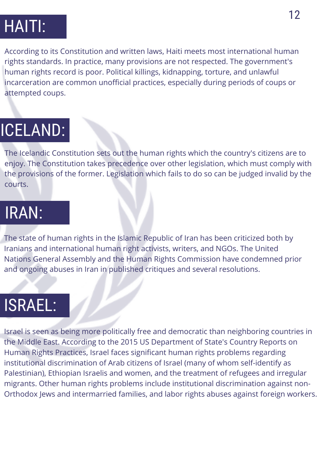# HAITI:

According to its Constitution and written laws, Haiti meets most international human rights standards. In practice, many provisions are not respected. The government's human rights record is poor. Political killings, kidnapping, torture, and unlawful incarceration are common unofficial practices, especially during periods of coups or attempted coups.

# ICELAND:

The Icelandic Constitution sets out the human rights which the country's citizens are to enjoy. The Constitution takes precedence over other legislation, which must comply with the provisions of the former. Legislation which fails to do so can be judged invalid by the courts.

#### IRAN:

The state of human rights in the Islamic Republic of Iran has been criticized both by Iranians and international human right activists, writers, and NGOs. The United Nations General Assembly and the Human Rights Commission have condemned prior and ongoing abuses in Iran in published critiques and several resolutions.

## ISRAEL:

 $T$  The Declaration consists of the following:  $T$ Israel is seen as being more politically free and democratic than neighboring countries in the Middle East. According to the 2015 US Department of State's Country Reports on Human Rights Practices, Israel faces significant human rights problems regarding institutional discrimination of Arab citizens of Israel (many of whom self-identify as Palestinian), Ethiopian Israelis and women, and the treatment of refugees and irregular migrants. Other human rights problems include institutional discrimination against non-Orthodox Jews and intermarried families, and labor rights abuses against foreign workers.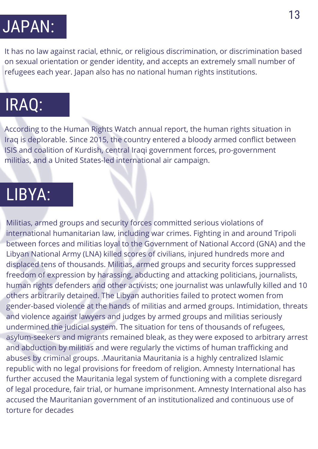# JAPAN:

It has no law against racial, ethnic, or religious discrimination, or discrimination based on sexual orientation or gender identity, and accepts an extremely small number of refugees each year. Japan also has no national human rights institutions.

### IRAQ:

According to the Human Rights Watch annual report, the human rights situation in Iraq is deplorable. Since 2015, the country entered a bloody armed conflict between ISIS and coalition of Kurdish, central Iraqi government forces, pro-government militias, and a United States-led international air campaign.

#### LIBYA:

republic with no legal provisions for freedom of religion. Amnesty International has Militias, armed groups and security forces committed serious violations of international humanitarian law, including war crimes. Fighting in and around Tripoli between forces and militias loyal to the Government of National Accord (GNA) and the Libyan National Army (LNA) killed scores of civilians, injured hundreds more and displaced tens of thousands. Militias, armed groups and security forces suppressed freedom of expression by harassing, abducting and attacking politicians, journalists, human rights defenders and other activists; one journalist was unlawfully killed and 10 others arbitrarily detained. The Libyan authorities failed to protect women from gender-based violence at the hands of militias and armed groups. Intimidation, threats and violence against lawyers and judges by armed groups and militias seriously undermined the judicial system. The situation for tens of thousands of refugees, asylum-seekers and migrants remained bleak, as they were exposed to arbitrary arrest and abduction by militias and were regularly the victims of human trafficking and abuses by criminal groups. .Mauritania Mauritania is a highly centralized Islamic further accused the Mauritania legal system of functioning with a complete disregard of legal procedure, fair trial, or humane imprisonment. Amnesty International also has accused the Mauritanian government of an institutionalized and continuous use of torture for decades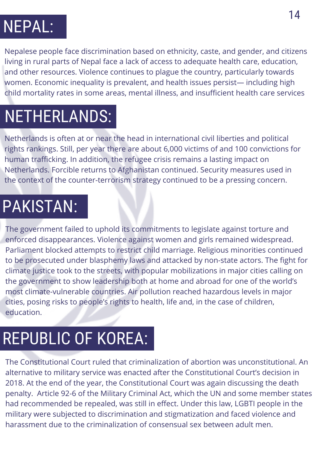# NEPAL:

Nepalese people face discrimination based on ethnicity, caste, and gender, and citizens living in rural parts of Nepal face a lack of access to adequate health care, education, and other resources. Violence continues to plague the country, particularly towards women. Economic inequality is prevalent, and health issues persist— including high child mortality rates in some areas, mental illness, and insufficient health care services

### NETHERLANDS:

Netherlands is often at or near the head in international civil liberties and political rights rankings. Still, per year there are about 6,000 victims of and 100 convictions for human trafficking. In addition, the refugee crisis remains a lasting impact on Netherlands. Forcible returns to Afghanistan continued. Security measures used in the context of the counter-terrorism strategy continued to be a pressing concern.

### PAKISTAN:

The government failed to uphold its commitments to legislate against torture and enforced disappearances. Violence against women and girls remained widespread. Parliament blocked attempts to restrict child marriage. Religious minorities continued to be prosecuted under blasphemy laws and attacked by non-state actors. The fight for climate justice took to the streets, with popular mobilizations in major cities calling on the government to show leadership both at home and abroad for one of the world's most climate-vulnerable countries. Air pollution reached hazardous levels in major cities, posing risks to people's rights to health, life and, in the case of children, education.

## REPUBLIC OF KOREA:

The constitutional court rated that entity The Constitutional Court ruled that criminalization of abortion was unconstitutional. An alternative to military service was enacted after the Constitutional Court's decision in 2018. At the end of the year, the Constitutional Court was again discussing the death penalty. Article 92-6 of the Military Criminal Act, which the UN and some member states had recommended be repealed, was still in effect. Under this law, LGBTI people in the military were subjected to discrimination and stigmatization and faced violence and harassment due to the criminalization of consensual sex between adult men.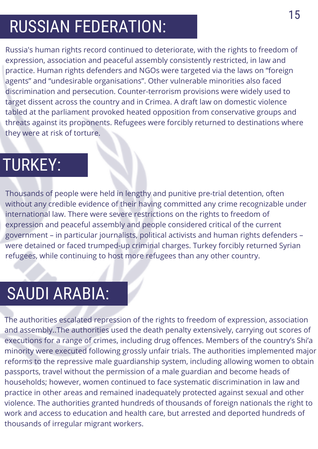# RUSSIAN FEDERATION:

Russia's human rights record continued to deteriorate, with the rights to freedom of expression, association and peaceful assembly consistently restricted, in law and practice. Human rights defenders and NGOs were targeted via the laws on "foreign agents" and "undesirable organisations". Other vulnerable minorities also faced discrimination and persecution. Counter-terrorism provisions were widely used to target dissent across the country and in Crimea. A draft law on domestic violence tabled at the parliament provoked heated opposition from conservative groups and threats against its proponents. Refugees were forcibly returned to destinations where they were at risk of torture.

### TURKEY:

Thousands of people were held in lengthy and punitive pre-trial detention, often without any credible evidence of their having committed any crime recognizable under international law. There were severe restrictions on the rights to freedom of expression and peaceful assembly and people considered critical of the current government – in particular journalists, political activists and human rights defenders – were detained or faced trumped-up criminal charges. Turkey forcibly returned Syrian refugees, while continuing to host more refugees than any other country.

### SAUDI ARABIA:

The Declaration consistent consistent the formic constant the following: The authorities escalated repression of the rights to freedom of expression, association and assembly..The authorities used the death penalty extensively, carrying out scores of executions for a range of crimes, including drug offences. Members of the country's Shi'a minority were executed following grossly unfair trials. The authorities implemented major reforms to the repressive male guardianship system, including allowing women to obtain passports, travel without the permission of a male guardian and become heads of households; however, women continued to face systematic discrimination in law and practice in other areas and remained inadequately protected against sexual and other violence. The authorities granted hundreds of thousands of foreign nationals the right to work and access to education and health care, but arrested and deported hundreds of thousands of irregular migrant workers.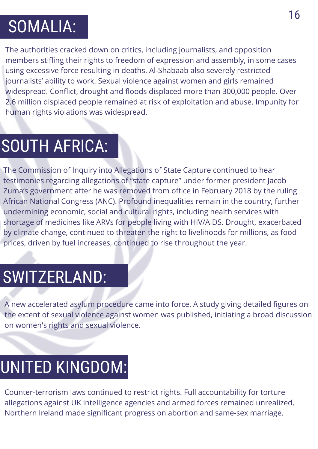## SOMALIA:

The authorities cracked down on critics, including journalists, and opposition members stifling their rights to freedom of expression and assembly, in some cases using excessive force resulting in deaths. Al-Shabaab also severely restricted journalists' ability to work. Sexual violence against women and girls remained widespread. Conflict, drought and floods displaced more than 300,000 people. Over 2.6 million displaced people remained at risk of exploitation and abuse. Impunity for human rights violations was widespread.

## SOUTH AFRICA:

The Commission of Inquiry into Allegations of State Capture continued to hear testimonies regarding allegations of "state capture" under former president Jacob Zuma's government after he was removed from office in February 2018 by the ruling African National Congress (ANC). Profound inequalities remain in the country, further undermining economic, social and cultural rights, including health services with shortage of medicines like ARVs for people living with HIV/AIDS. Drought, exacerbated by climate change, continued to threaten the right to livelihoods for millions, as food prices, driven by fuel increases, continued to rise throughout the year.

### SWITZERLAND:

A new accelerated asylum procedure came into force. A study giving detailed figures on the extent of sexual violence against women was published, initiating a broad discussion on women's rights and sexual violence.

#### JNH FD KINGDOM: UNITED KINGDOM:

Counter-terrorism laws continued to restrict rights. Full accountability for torture allegations against UK intelligence agencies and armed forces remained unrealized. Northern Ireland made significant progress on abortion and same-sex marriage.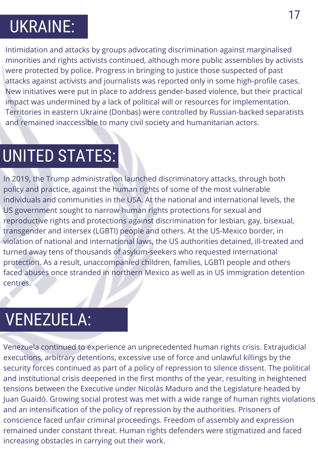# UKRAINE:

Intimidation and attacks by groups advocating discrimination against marginalised minorities and rights activists continued, although more public assemblies by activists were protected by police. Progress in bringing to justice those suspected of past attacks against activists and journalists was reported only in some high-profile cases. New initiatives were put in place to address gender-based violence, but their practical impact was undermined by a lack of political will or resources for implementation. Territories in eastern Ukraine (Donbas) were controlled by Russian-backed separatists and remained inaccessible to many civil society and humanitarian actors.

## UNITED STATES:

In 2019, the Trump administration launched discriminatory attacks, through both policy and practice, against the human rights of some of the most vulnerable individuals and communities in the USA. At the national and international levels, the US government sought to narrow human rights protections for sexual and reproductive rights and protections against discrimination for lesbian, gay, bisexual, transgender and intersex (LGBTI) people and others. At the US-Mexico border, in violation of national and international laws, the US authorities detained, ill-treated and turned away tens of thousands of asylum-seekers who requested international protection. As a result, unaccompanied children, families, LGBTI people and others faced abuses once stranded in northern Mexico as well as in US immigration detention centres.

## VENEZUELA:

security forces continued as part of a policy of repression to silence dissent. The political Venezuela continued to experience an unprecedented human rights crisis. Extrajudicial executions, arbitrary detentions, excessive use of force and unlawful killings by the and institutional crisis deepened in the first months of the year, resulting in heightened tensions between the Executive under Nicolás Maduro and the Legislature headed by Juan Guaidó. Growing social protest was met with a wide range of human rights violations and an intensification of the policy of repression by the authorities. Prisoners of conscience faced unfair criminal proceedings. Freedom of assembly and expression remained under constant threat. Human rights defenders were stigmatized and faced increasing obstacles in carrying out their work.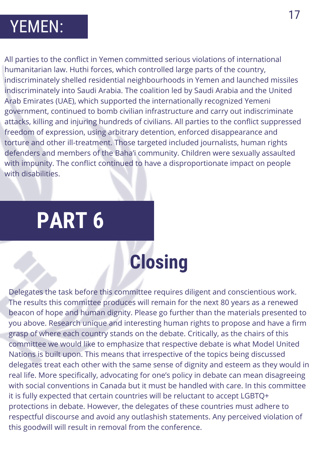#### YEMEN:

All parties to the conflict in Yemen committed serious violations of international humanitarian law. Huthi forces, which controlled large parts of the country, indiscriminately shelled residential neighbourhoods in Yemen and launched missiles indiscriminately into Saudi Arabia. The coalition led by Saudi Arabia and the United Arab Emirates (UAE), which supported the internationally recognized Yemeni government, continued to bomb civilian infrastructure and carry out indiscriminate attacks, killing and injuring hundreds of civilians. All parties to the conflict suppressed freedom of expression, using arbitrary detention, enforced disappearance and torture and other ill-treatment. Those targeted included journalists, human rights defenders and members of the Baha'i community. Children were sexually assaulted with impunity. The conflict continued to have a disproportionate impact on people with disabilities.

# **PART 6**

# **Closing**

delegates treat each other with the same sense of dignity and esteem as they would in Delegates the task before this committee requires diligent and conscientious work. The results this committee produces will remain for the next 80 years as a renewed beacon of hope and human dignity. Please go further than the materials presented to you above. Research unique and interesting human rights to propose and have a firm grasp of where each country stands on the debate. Critically, as the chairs of this committee we would like to emphasize that respective debate is what Model United Nations is built upon. This means that irrespective of the topics being discussed real life. More specifically, advocating for one's policy in debate can mean disagreeing with social conventions in Canada but it must be handled with care. In this committee it is fully expected that certain countries will be reluctant to accept LGBTQ+ protections in debate. However, the delegates of these countries must adhere to respectful discourse and avoid any outlashish statements. Any perceived violation of this goodwill will result in removal from the conference.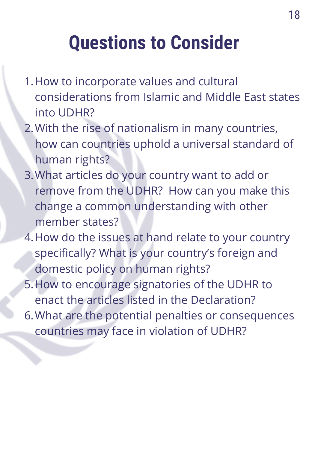# **Questions to Consider**

- 1. How to incorporate values and cultural considerations from Islamic and Middle East states into UDHR?
- With the rise of nationalism in many countries, 2. how can countries uphold a universal standard of human rights?
- What articles do your country want to add or 3. remove from the UDHR? How can you make this change a common understanding with other member states?
- 4. How do the issues at hand relate to your country specifically? What is your country's foreign and domestic policy on human rights?
- 5. How to encourage signatories of the UDHR to enact the articles listed in the Declaration?

The Declaration consists of the following:

What are the potential penalties or consequences 6.countries may face in violation of UDHR?